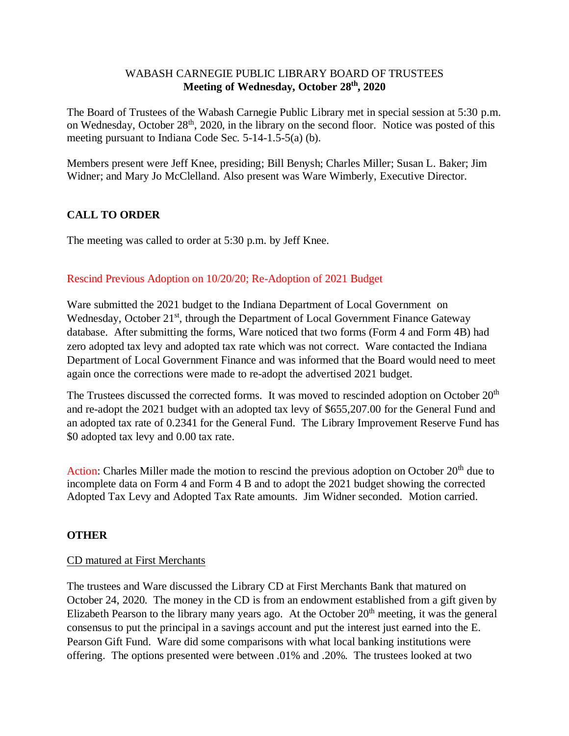### WABASH CARNEGIE PUBLIC LIBRARY BOARD OF TRUSTEES **Meeting of Wednesday, October 28th, 2020**

The Board of Trustees of the Wabash Carnegie Public Library met in special session at 5:30 p.m. on Wednesday, October 28<sup>th</sup>, 2020, in the library on the second floor. Notice was posted of this meeting pursuant to Indiana Code Sec. 5-14-1.5-5(a) (b).

Members present were Jeff Knee, presiding; Bill Benysh; Charles Miller; Susan L. Baker; Jim Widner; and Mary Jo McClelland. Also present was Ware Wimberly, Executive Director.

# **CALL TO ORDER**

The meeting was called to order at 5:30 p.m. by Jeff Knee.

## Rescind Previous Adoption on 10/20/20; Re-Adoption of 2021 Budget

Ware submitted the 2021 budget to the Indiana Department of Local Government on Wednesday, October 21<sup>st</sup>, through the Department of Local Government Finance Gateway database. After submitting the forms, Ware noticed that two forms (Form 4 and Form 4B) had zero adopted tax levy and adopted tax rate which was not correct. Ware contacted the Indiana Department of Local Government Finance and was informed that the Board would need to meet again once the corrections were made to re-adopt the advertised 2021 budget.

The Trustees discussed the corrected forms. It was moved to rescinded adoption on October 20<sup>th</sup> and re-adopt the 2021 budget with an adopted tax levy of \$655,207.00 for the General Fund and an adopted tax rate of 0.2341 for the General Fund. The Library Improvement Reserve Fund has \$0 adopted tax levy and 0.00 tax rate.

Action: Charles Miller made the motion to rescind the previous adoption on October  $20<sup>th</sup>$  due to incomplete data on Form 4 and Form 4 B and to adopt the 2021 budget showing the corrected Adopted Tax Levy and Adopted Tax Rate amounts. Jim Widner seconded. Motion carried.

#### **OTHER**

#### CD matured at First Merchants

The trustees and Ware discussed the Library CD at First Merchants Bank that matured on October 24, 2020. The money in the CD is from an endowment established from a gift given by Elizabeth Pearson to the library many years ago. At the October  $20<sup>th</sup>$  meeting, it was the general consensus to put the principal in a savings account and put the interest just earned into the E. Pearson Gift Fund. Ware did some comparisons with what local banking institutions were offering. The options presented were between .01% and .20%. The trustees looked at two